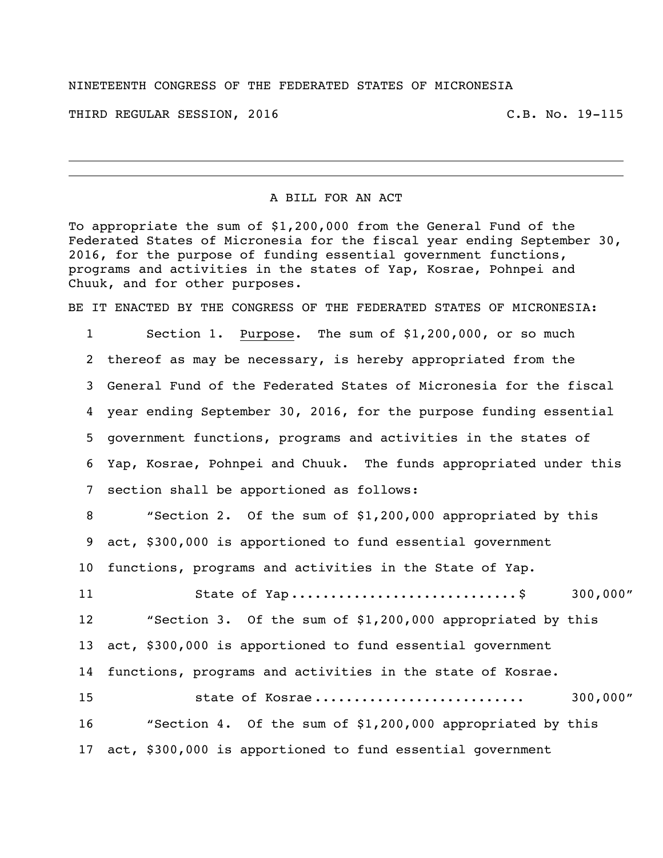## NINETEENTH CONGRESS OF THE FEDERATED STATES OF MICRONESIA

THIRD REGULAR SESSION, 2016 C.B. No. 19-115

## A BILL FOR AN ACT

To appropriate the sum of \$1,200,000 from the General Fund of the Federated States of Micronesia for the fiscal year ending September 30, 2016, for the purpose of funding essential government functions, programs and activities in the states of Yap, Kosrae, Pohnpei and Chuuk, and for other purposes.

BE IT ENACTED BY THE CONGRESS OF THE FEDERATED STATES OF MICRONESIA:

 Section 1. Purpose. The sum of \$1,200,000, or so much thereof as may be necessary, is hereby appropriated from the General Fund of the Federated States of Micronesia for the fiscal year ending September 30, 2016, for the purpose funding essential government functions, programs and activities in the states of Yap, Kosrae, Pohnpei and Chuuk. The funds appropriated under this section shall be apportioned as follows: "Section 2. Of the sum of \$1,200,000 appropriated by this act, \$300,000 is apportioned to fund essential government functions, programs and activities in the State of Yap. 11 State of Yap ................................\$ 300,000" "Section 3. Of the sum of \$1,200,000 appropriated by this act, \$300,000 is apportioned to fund essential government functions, programs and activities in the state of Kosrae. state of Kosrae ........................... 300,000" "Section 4. Of the sum of \$1,200,000 appropriated by this act, \$300,000 is apportioned to fund essential government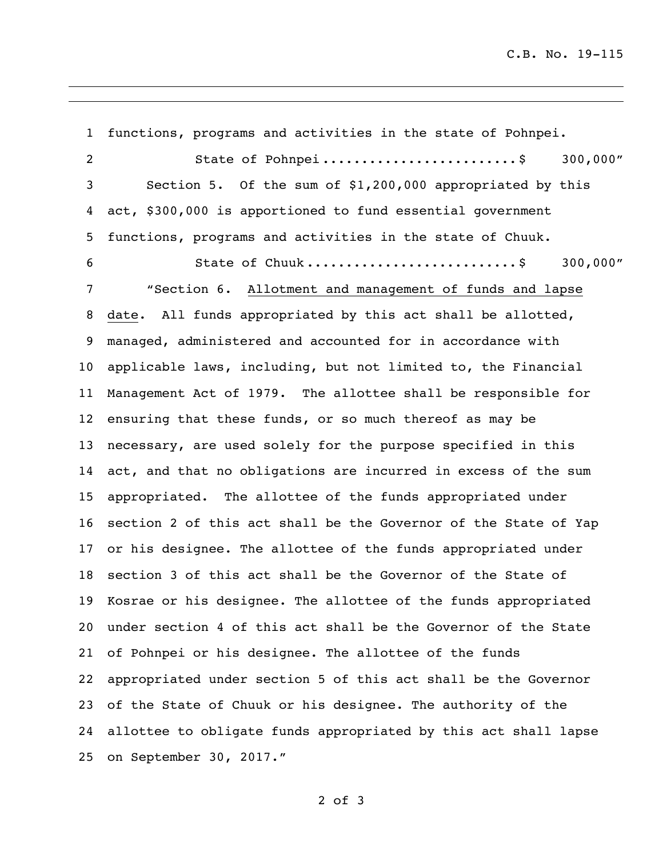C.B. No. 19-115

 functions, programs and activities in the state of Pohnpei. 2 5tate of Pohnpei ..............................\$ 300,000" Section 5. Of the sum of \$1,200,000 appropriated by this act, \$300,000 is apportioned to fund essential government functions, programs and activities in the state of Chuuk. State of Chuuk ...........................\$ 300,000" "Section 6. Allotment and management of funds and lapse date. All funds appropriated by this act shall be allotted, managed, administered and accounted for in accordance with applicable laws, including, but not limited to, the Financial Management Act of 1979. The allottee shall be responsible for ensuring that these funds, or so much thereof as may be necessary, are used solely for the purpose specified in this act, and that no obligations are incurred in excess of the sum appropriated. The allottee of the funds appropriated under section 2 of this act shall be the Governor of the State of Yap or his designee. The allottee of the funds appropriated under section 3 of this act shall be the Governor of the State of Kosrae or his designee. The allottee of the funds appropriated under section 4 of this act shall be the Governor of the State of Pohnpei or his designee. The allottee of the funds appropriated under section 5 of this act shall be the Governor of the State of Chuuk or his designee. The authority of the allottee to obligate funds appropriated by this act shall lapse on September 30, 2017."